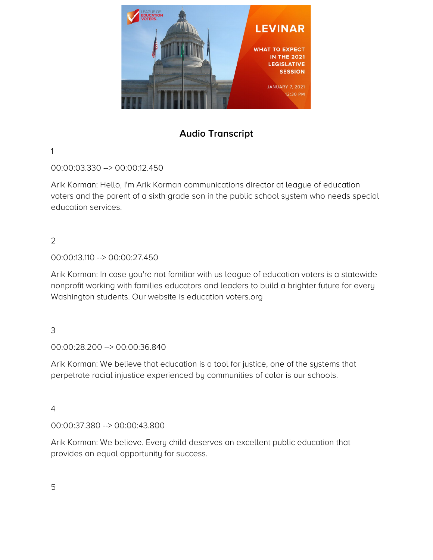

# **Audio Transcript**

## 1

00:00:03.330 --> 00:00:12.450

Arik Korman: Hello, I'm Arik Korman communications director at league of education voters and the parent of a sixth grade son in the public school system who needs special education services.

# 2

# 00:00:13.110 --> 00:00:27.450

Arik Korman: In case you're not familiar with us league of education voters is a statewide nonprofit working with families educators and leaders to build a brighter future for every Washington students. Our website is education voters.org

# 3

00:00:28.200 --> 00:00:36.840

Arik Korman: We believe that education is a tool for justice, one of the systems that perpetrate racial injustice experienced by communities of color is our schools.

#### 4

00:00:37.380 --> 00:00:43.800

Arik Korman: We believe. Every child deserves an excellent public education that provides an equal opportunity for success.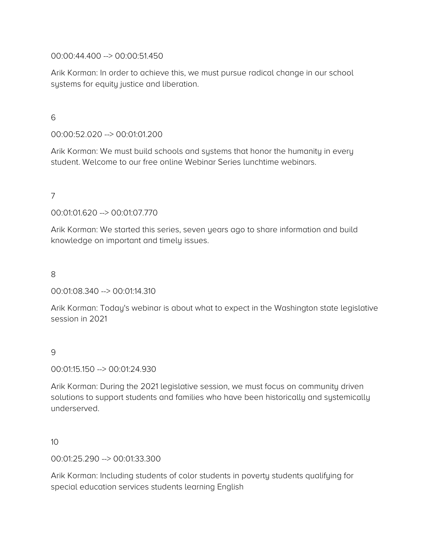00:00:44.400 --> 00:00:51.450

Arik Korman: In order to achieve this, we must pursue radical change in our school systems for equity justice and liberation.

6

00:00:52.020 --> 00:01:01.200

Arik Korman: We must build schools and systems that honor the humanity in every student. Welcome to our free online Webinar Series lunchtime webinars.

7

00:01:01.620 --> 00:01:07.770

Arik Korman: We started this series, seven years ago to share information and build knowledge on important and timely issues.

8

00:01:08.340 --> 00:01:14.310

Arik Korman: Today's webinar is about what to expect in the Washington state legislative session in 2021

9

00:01:15.150 --> 00:01:24.930

Arik Korman: During the 2021 legislative session, we must focus on community driven solutions to support students and families who have been historically and systemically underserved.

10

00:01:25.290 --> 00:01:33.300

Arik Korman: Including students of color students in poverty students qualifying for special education services students learning English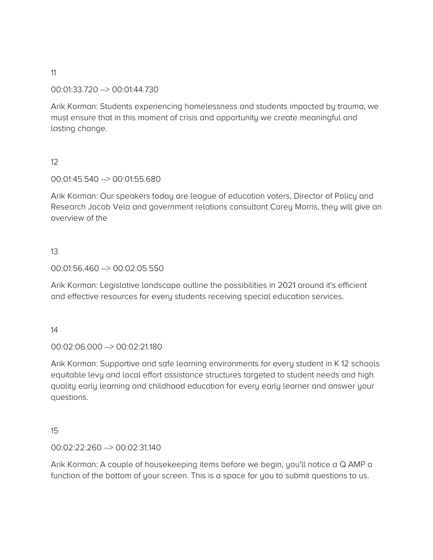## 00:01:33.720 --> 00:01:44.730

Arik Korman: Students experiencing homelessness and students impacted by trauma, we must ensure that in this moment of crisis and opportunity we create meaningful and lasting change.

# 12

## 00:01:45.540 --> 00:01:55.680

Arik Korman: Our speakers today are league of education voters, Director of Policy and Research Jacob Vela and government relations consultant Carey Morris, they will give an overview of the

## 13

#### 00:01:56.460 --> 00:02:05.550

Arik Korman: Legislative landscape outline the possibilities in 2021 around it's efficient and effective resources for every students receiving special education services.

#### 14

#### 00:02:06.000 --> 00:02:21.180

Arik Korman: Supportive and safe learning environments for every student in K 12 schools equitable levy and local effort assistance structures targeted to student needs and high quality early learning and childhood education for every early learner and answer your questions.

#### 15

#### 00:02:22.260 --> 00:02:31.140

Arik Korman: A couple of housekeeping items before we begin, you'll notice a Q AMP a function of the bottom of your screen. This is a space for you to submit questions to us.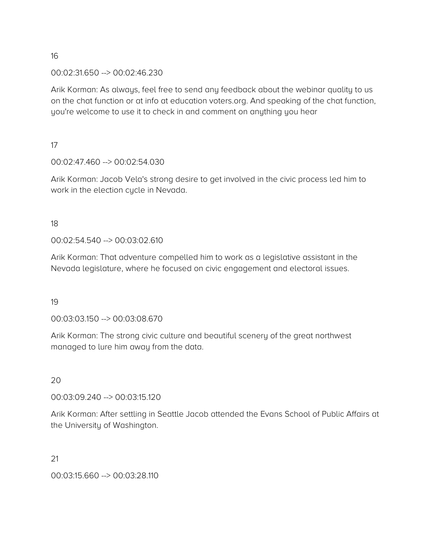# 00:02:31.650 --> 00:02:46.230

Arik Korman: As always, feel free to send any feedback about the webinar quality to us on the chat function or at info at education voters.org. And speaking of the chat function, you're welcome to use it to check in and comment on anything you hear

17

# 00:02:47.460 --> 00:02:54.030

Arik Korman: Jacob Vela's strong desire to get involved in the civic process led him to work in the election cycle in Nevada.

18

# 00:02:54.540 --> 00:03:02.610

Arik Korman: That adventure compelled him to work as a legislative assistant in the Nevada legislature, where he focused on civic engagement and electoral issues.

19

# 00:03:03.150 --> 00:03:08.670

Arik Korman: The strong civic culture and beautiful scenery of the great northwest managed to lure him away from the data.

20

#### 00:03:09.240 --> 00:03:15.120

Arik Korman: After settling in Seattle Jacob attended the Evans School of Public Affairs at the University of Washington.

21

00:03:15.660 --> 00:03:28.110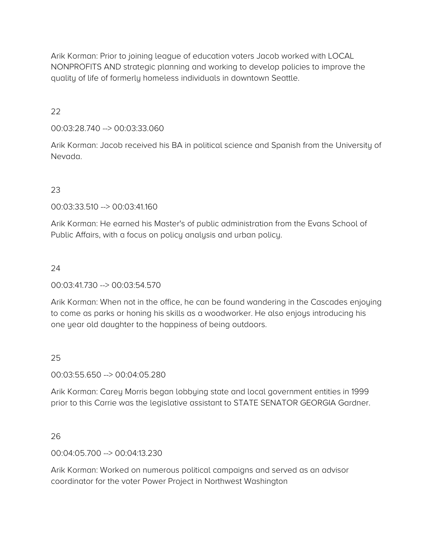Arik Korman: Prior to joining league of education voters Jacob worked with LOCAL NONPROFITS AND strategic planning and working to develop policies to improve the quality of life of formerly homeless individuals in downtown Seattle.

22

00:03:28.740 --> 00:03:33.060

Arik Korman: Jacob received his BA in political science and Spanish from the University of Nevada.

23

00:03:33.510 --> 00:03:41.160

Arik Korman: He earned his Master's of public administration from the Evans School of Public Affairs, with a focus on policy analysis and urban policy.

24

00:03:41.730 --> 00:03:54.570

Arik Korman: When not in the office, he can be found wandering in the Cascades enjoying to come as parks or honing his skills as a woodworker. He also enjoys introducing his one year old daughter to the happiness of being outdoors.

25

00:03:55.650 --> 00:04:05.280

Arik Korman: Carey Morris began lobbying state and local government entities in 1999 prior to this Carrie was the legislative assistant to STATE SENATOR GEORGIA Gardner.

26

00:04:05.700 --> 00:04:13.230

Arik Korman: Worked on numerous political campaigns and served as an advisor coordinator for the voter Power Project in Northwest Washington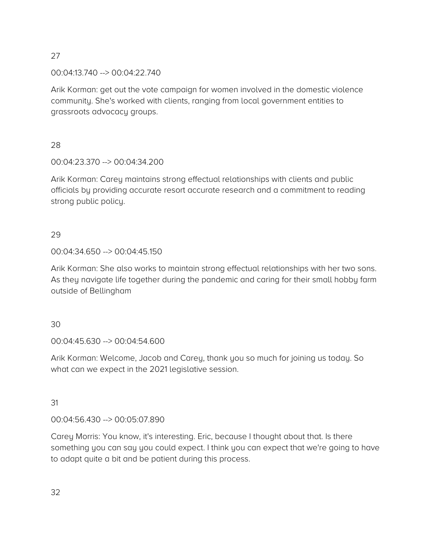00:04:13.740 --> 00:04:22.740

Arik Korman: get out the vote campaign for women involved in the domestic violence community. She's worked with clients, ranging from local government entities to grassroots advocacy groups.

28

00:04:23.370 --> 00:04:34.200

Arik Korman: Carey maintains strong effectual relationships with clients and public officials by providing accurate resort accurate research and a commitment to reading strong public policy.

29

00:04:34.650 --> 00:04:45.150

Arik Korman: She also works to maintain strong effectual relationships with her two sons. As they navigate life together during the pandemic and caring for their small hobby farm outside of Bellingham

30

00:04:45.630 --> 00:04:54.600

Arik Korman: Welcome, Jacob and Carey, thank you so much for joining us today. So what can we expect in the 2021 legislative session.

31

00:04:56.430 --> 00:05:07.890

Carey Morris: You know, it's interesting. Eric, because I thought about that. Is there something you can say you could expect. I think you can expect that we're going to have to adapt quite a bit and be patient during this process.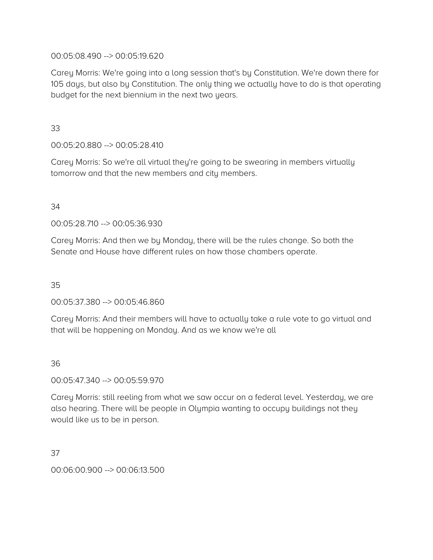## 00:05:08.490 --> 00:05:19.620

Carey Morris: We're going into a long session that's by Constitution. We're down there for 105 days, but also by Constitution. The only thing we actually have to do is that operating budget for the next biennium in the next two years.

33

00:05:20.880 --> 00:05:28.410

Carey Morris: So we're all virtual they're going to be swearing in members virtually tomorrow and that the new members and city members.

## 34

00:05:28.710 --> 00:05:36.930

Carey Morris: And then we by Monday, there will be the rules change. So both the Senate and House have different rules on how those chambers operate.

35

00:05:37.380 --> 00:05:46.860

Carey Morris: And their members will have to actually take a rule vote to go virtual and that will be happening on Monday. And as we know we're all

36

00:05:47.340 --> 00:05:59.970

Carey Morris: still reeling from what we saw occur on a federal level. Yesterday, we are also hearing. There will be people in Olympia wanting to occupy buildings not they would like us to be in person.

37

00:06:00.900 --> 00:06:13.500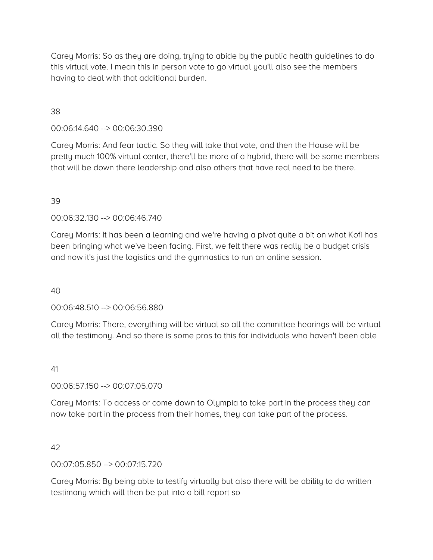Carey Morris: So as they are doing, trying to abide by the public health guidelines to do this virtual vote. I mean this in person vote to go virtual you'll also see the members having to deal with that additional burden.

## 38

00:06:14.640 --> 00:06:30.390

Carey Morris: And fear tactic. So they will take that vote, and then the House will be pretty much 100% virtual center, there'll be more of a hybrid, there will be some members that will be down there leadership and also others that have real need to be there.

#### 39

00:06:32.130 --> 00:06:46.740

Carey Morris: It has been a learning and we're having a pivot quite a bit on what Kofi has been bringing what we've been facing. First, we felt there was really be a budget crisis and now it's just the logistics and the gymnastics to run an online session.

#### 40

00:06:48.510 --> 00:06:56.880

Carey Morris: There, everything will be virtual so all the committee hearings will be virtual all the testimony. And so there is some pros to this for individuals who haven't been able

#### 41

00:06:57.150 --> 00:07:05.070

Carey Morris: To access or come down to Olympia to take part in the process they can now take part in the process from their homes, they can take part of the process.

#### 42

00:07:05.850 --> 00:07:15.720

Carey Morris: By being able to testify virtually but also there will be ability to do written testimony which will then be put into a bill report so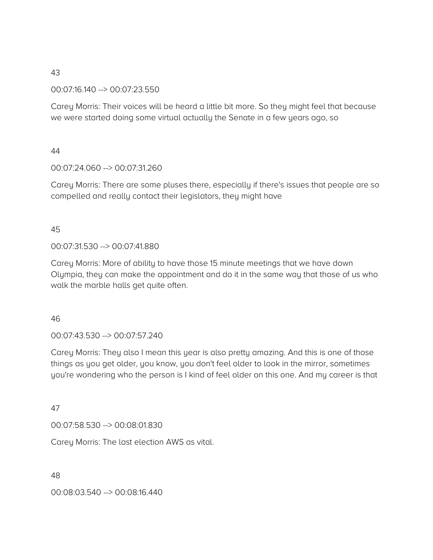00:07:16.140 --> 00:07:23.550

Carey Morris: Their voices will be heard a little bit more. So they might feel that because we were started doing some virtual actually the Senate in a few years ago, so

## 44

00:07:24.060 --> 00:07:31.260

Carey Morris: There are some pluses there, especially if there's issues that people are so compelled and really contact their legislators, they might have

# 45

00:07:31.530 --> 00:07:41.880

Carey Morris: More of ability to have those 15 minute meetings that we have down Olympia, they can make the appointment and do it in the same way that those of us who walk the marble halls get quite often.

46

00:07:43.530 --> 00:07:57.240

Carey Morris: They also I mean this year is also pretty amazing. And this is one of those things as you get older, you know, you don't feel older to look in the mirror, sometimes you're wondering who the person is I kind of feel older on this one. And my career is that

47

00:07:58.530 --> 00:08:01.830

Carey Morris: The last election AWS as vital.

48

00:08:03.540 --> 00:08:16.440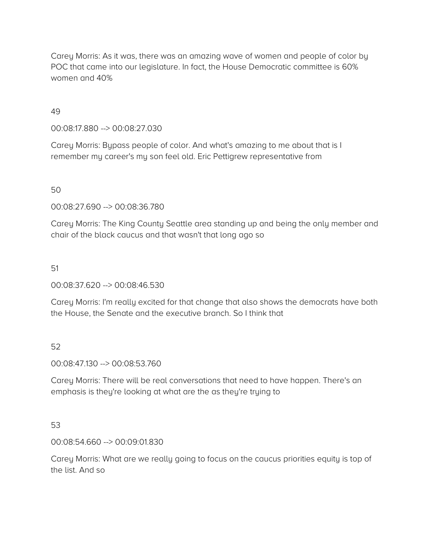Carey Morris: As it was, there was an amazing wave of women and people of color by POC that came into our legislature. In fact, the House Democratic committee is 60% women and 40%

49

00:08:17.880 --> 00:08:27.030

Carey Morris: Bypass people of color. And what's amazing to me about that is I remember my career's my son feel old. Eric Pettigrew representative from

50

00:08:27.690 --> 00:08:36.780

Carey Morris: The King County Seattle area standing up and being the only member and chair of the black caucus and that wasn't that long ago so

51

00:08:37.620 --> 00:08:46.530

Carey Morris: I'm really excited for that change that also shows the democrats have both the House, the Senate and the executive branch. So I think that

52

00:08:47.130 --> 00:08:53.760

Carey Morris: There will be real conversations that need to have happen. There's an emphasis is they're looking at what are the as they're trying to

53

00:08:54.660 --> 00:09:01.830

Carey Morris: What are we really going to focus on the caucus priorities equity is top of the list. And so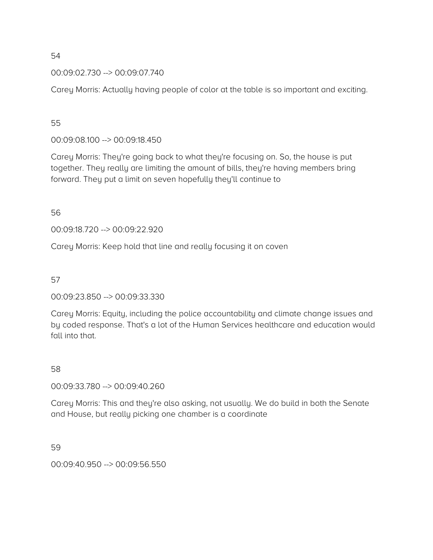# 00:09:02.730 --> 00:09:07.740

Carey Morris: Actually having people of color at the table is so important and exciting.

# 55

00:09:08.100 --> 00:09:18.450

Carey Morris: They're going back to what they're focusing on. So, the house is put together. They really are limiting the amount of bills, they're having members bring forward. They put a limit on seven hopefully they'll continue to

56

00:09:18.720 --> 00:09:22.920

Carey Morris: Keep hold that line and really focusing it on coven

57

00:09:23.850 --> 00:09:33.330

Carey Morris: Equity, including the police accountability and climate change issues and by coded response. That's a lot of the Human Services healthcare and education would fall into that.

#### 58

00:09:33.780 --> 00:09:40.260

Carey Morris: This and they're also asking, not usually. We do build in both the Senate and House, but really picking one chamber is a coordinate

59

00:09:40.950 --> 00:09:56.550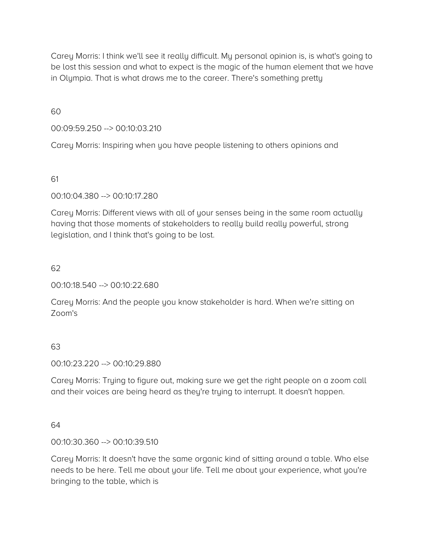Carey Morris: I think we'll see it really difficult. My personal opinion is, is what's going to be lost this session and what to expect is the magic of the human element that we have in Olympia. That is what draws me to the career. There's something pretty

60

00:09:59.250 --> 00:10:03.210

Carey Morris: Inspiring when you have people listening to others opinions and

61

00:10:04.380 --> 00:10:17.280

Carey Morris: Different views with all of your senses being in the same room actually having that those moments of stakeholders to really build really powerful, strong legislation, and I think that's going to be lost.

62

00:10:18.540 --> 00:10:22.680

Carey Morris: And the people you know stakeholder is hard. When we're sitting on Zoom's

#### 63

00:10:23.220 --> 00:10:29.880

Carey Morris: Trying to figure out, making sure we get the right people on a zoom call and their voices are being heard as they're trying to interrupt. It doesn't happen.

# 64

00:10:30.360 --> 00:10:39.510

Carey Morris: It doesn't have the same organic kind of sitting around a table. Who else needs to be here. Tell me about your life. Tell me about your experience, what you're bringing to the table, which is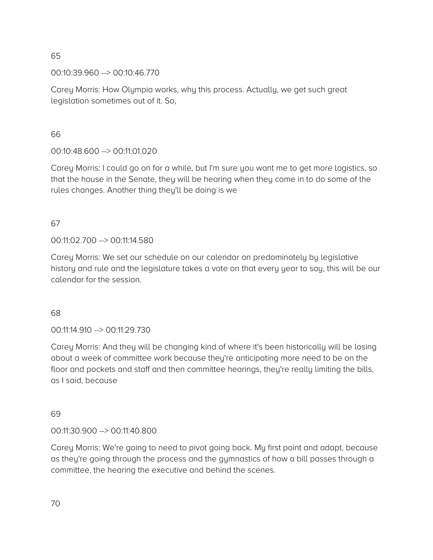00:10:39.960 --> 00:10:46.770

Carey Morris: How Olympia works, why this process. Actually, we get such great legislation sometimes out of it. So,

66

00:10:48.600 --> 00:11:01.020

Carey Morris: I could go on for a while, but I'm sure you want me to get more logistics, so that the house in the Senate, they will be hearing when they come in to do some of the rules changes. Another thing they'll be doing is we

67

00:11:02.700 --> 00:11:14.580

Carey Morris: We set our schedule on our calendar on predominately by legislative history and rule and the legislature takes a vote on that every year to say, this will be our calendar for the session.

68

00:11:14.910 --> 00:11:29.730

Carey Morris: And they will be changing kind of where it's been historically will be losing about a week of committee work because they're anticipating more need to be on the floor and pockets and staff and then committee hearings, they're really limiting the bills, as I said, because

69

00:11:30.900 --> 00:11:40.800

Carey Morris: We're going to need to pivot going back. My first point and adapt, because as they're going through the process and the gymnastics of how a bill passes through a committee, the hearing the executive and behind the scenes.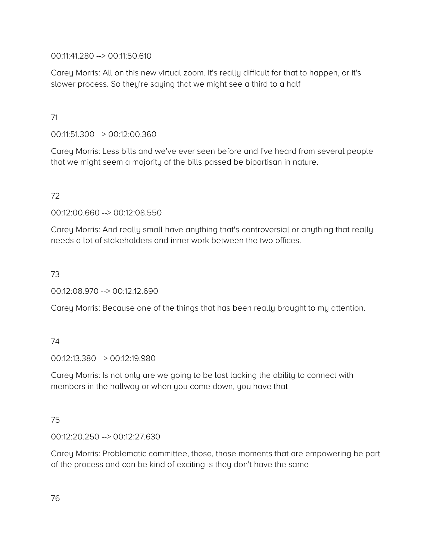00:11:41.280 --> 00:11:50.610

Carey Morris: All on this new virtual zoom. It's really difficult for that to happen, or it's slower process. So they're saying that we might see a third to a half

# 71

00:11:51.300 --> 00:12:00.360

Carey Morris: Less bills and we've ever seen before and I've heard from several people that we might seem a majority of the bills passed be bipartisan in nature.

# 72

00:12:00.660 --> 00:12:08.550

Carey Morris: And really small have anything that's controversial or anything that really needs a lot of stakeholders and inner work between the two offices.

# 73

00:12:08.970 --> 00:12:12.690

Carey Morris: Because one of the things that has been really brought to my attention.

# 74

00:12:13.380 --> 00:12:19.980

Carey Morris: Is not only are we going to be last lacking the ability to connect with members in the hallway or when you come down, you have that

# 75

00:12:20.250 --> 00:12:27.630

Carey Morris: Problematic committee, those, those moments that are empowering be part of the process and can be kind of exciting is they don't have the same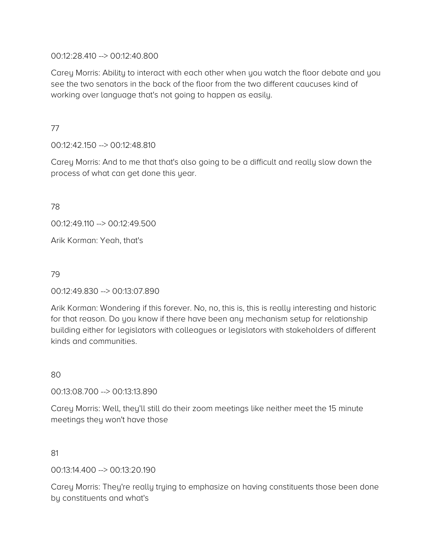00:12:28.410 --> 00:12:40.800

Carey Morris: Ability to interact with each other when you watch the floor debate and you see the two senators in the back of the floor from the two different caucuses kind of working over language that's not going to happen as easily.

77

00:12:42.150 --> 00:12:48.810

Carey Morris: And to me that that's also going to be a difficult and really slow down the process of what can get done this year.

78

00:12:49.110 --> 00:12:49.500

Arik Korman: Yeah, that's

79

00:12:49.830 --> 00:13:07.890

Arik Korman: Wondering if this forever. No, no, this is, this is really interesting and historic for that reason. Do you know if there have been any mechanism setup for relationship building either for legislators with colleagues or legislators with stakeholders of different kinds and communities.

80

00:13:08.700 --> 00:13:13.890

Carey Morris: Well, they'll still do their zoom meetings like neither meet the 15 minute meetings they won't have those

81

00:13:14.400 --> 00:13:20.190

Carey Morris: They're really trying to emphasize on having constituents those been done by constituents and what's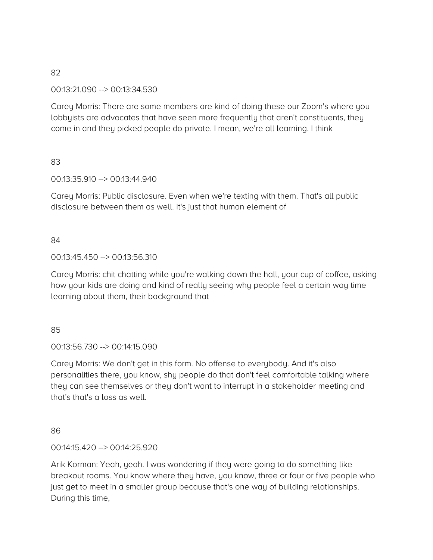#### 00:13:21.090 --> 00:13:34.530

Carey Morris: There are some members are kind of doing these our Zoom's where you lobbyists are advocates that have seen more frequently that aren't constituents, they come in and they picked people do private. I mean, we're all learning. I think

## 83

## 00:13:35.910 --> 00:13:44.940

Carey Morris: Public disclosure. Even when we're texting with them. That's all public disclosure between them as well. It's just that human element of

## 84

## 00:13:45.450 --> 00:13:56.310

Carey Morris: chit chatting while you're walking down the hall, your cup of coffee, asking how your kids are doing and kind of really seeing why people feel a certain way time learning about them, their background that

#### 85

00:13:56.730 --> 00:14:15.090

Carey Morris: We don't get in this form. No offense to everybody. And it's also personalities there, you know, shy people do that don't feel comfortable talking where they can see themselves or they don't want to interrupt in a stakeholder meeting and that's that's a loss as well.

#### 86

#### 00:14:15.420 --> 00:14:25.920

Arik Korman: Yeah, yeah. I was wondering if they were going to do something like breakout rooms. You know where they have, you know, three or four or five people who just get to meet in a smaller group because that's one way of building relationships. During this time,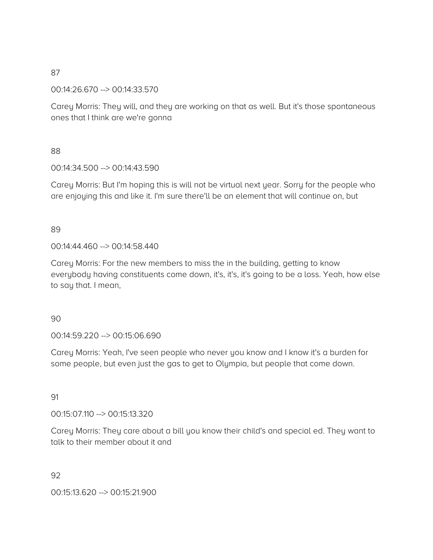00:14:26.670 --> 00:14:33.570

Carey Morris: They will, and they are working on that as well. But it's those spontaneous ones that I think are we're gonna

#### 88

00:14:34.500 --> 00:14:43.590

Carey Morris: But I'm hoping this is will not be virtual next year. Sorry for the people who are enjoying this and like it. I'm sure there'll be an element that will continue on, but

## 89

00:14:44.460 --> 00:14:58.440

Carey Morris: For the new members to miss the in the building, getting to know everybody having constituents come down, it's, it's, it's going to be a loss. Yeah, how else to say that. I mean,

#### 90

00:14:59.220 --> 00:15:06.690

Carey Morris: Yeah, I've seen people who never you know and I know it's a burden for some people, but even just the gas to get to Olympia, but people that come down.

# 91

00:15:07.110 --> 00:15:13.320

Carey Morris: They care about a bill you know their child's and special ed. They want to talk to their member about it and

92

00:15:13.620 --> 00:15:21.900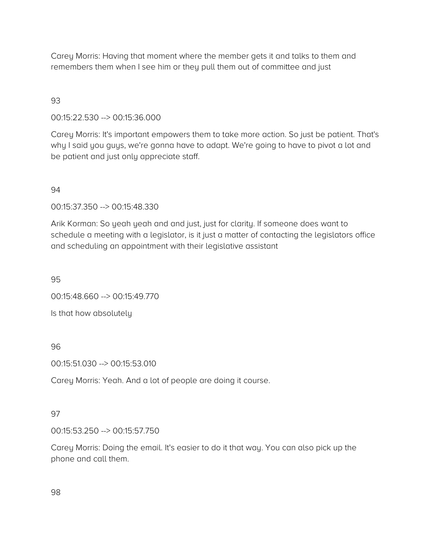Carey Morris: Having that moment where the member gets it and talks to them and remembers them when I see him or they pull them out of committee and just

# 93

#### 00:15:22.530 --> 00:15:36.000

Carey Morris: It's important empowers them to take more action. So just be patient. That's why I said you guys, we're gonna have to adapt. We're going to have to pivot a lot and be patient and just only appreciate staff.

#### 94

00:15:37.350 --> 00:15:48.330

Arik Korman: So yeah yeah and and just, just for clarity. If someone does want to schedule a meeting with a legislator, is it just a matter of contacting the legislators office and scheduling an appointment with their legislative assistant

95

00:15:48.660 --> 00:15:49.770

Is that how absolutely

#### 96

00:15:51.030 --> 00:15:53.010

Carey Morris: Yeah. And a lot of people are doing it course.

#### 97

00:15:53.250 --> 00:15:57.750

Carey Morris: Doing the email. It's easier to do it that way. You can also pick up the phone and call them.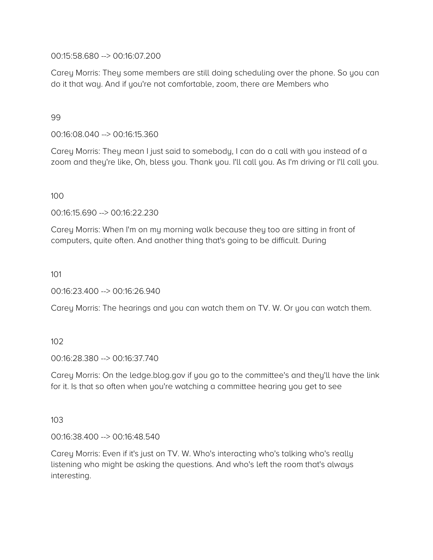00:15:58.680 --> 00:16:07.200

Carey Morris: They some members are still doing scheduling over the phone. So you can do it that way. And if you're not comfortable, zoom, there are Members who

99

00:16:08.040 --> 00:16:15.360

Carey Morris: They mean I just said to somebody, I can do a call with you instead of a zoom and they're like, Oh, bless you. Thank you. I'll call you. As I'm driving or I'll call you.

100

00:16:15.690 --> 00:16:22.230

Carey Morris: When I'm on my morning walk because they too are sitting in front of computers, quite often. And another thing that's going to be difficult. During

101

00:16:23.400 --> 00:16:26.940

Carey Morris: The hearings and you can watch them on TV. W. Or you can watch them.

102

00:16:28.380 --> 00:16:37.740

Carey Morris: On the ledge.blog.gov if you go to the committee's and they'll have the link for it. Is that so often when you're watching a committee hearing you get to see

103

00:16:38.400 --> 00:16:48.540

Carey Morris: Even if it's just on TV. W. Who's interacting who's talking who's really listening who might be asking the questions. And who's left the room that's always interesting.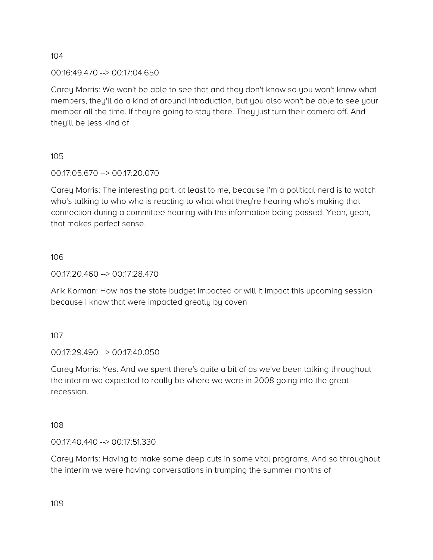00:16:49.470 --> 00:17:04.650

Carey Morris: We won't be able to see that and they don't know so you won't know what members, they'll do a kind of around introduction, but you also won't be able to see your member all the time. If they're going to stay there. They just turn their camera off. And they'll be less kind of

105

00:17:05.670 --> 00:17:20.070

Carey Morris: The interesting part, at least to me, because I'm a political nerd is to watch who's talking to who who is reacting to what what they're hearing who's making that connection during a committee hearing with the information being passed. Yeah, yeah, that makes perfect sense.

106

00:17:20.460 --> 00:17:28.470

Arik Korman: How has the state budget impacted or will it impact this upcoming session because I know that were impacted greatly by coven

107

00:17:29.490 --> 00:17:40.050

Carey Morris: Yes. And we spent there's quite a bit of as we've been talking throughout the interim we expected to really be where we were in 2008 going into the great recession.

108

00:17:40.440 --> 00:17:51.330

Carey Morris: Having to make some deep cuts in some vital programs. And so throughout the interim we were having conversations in trumping the summer months of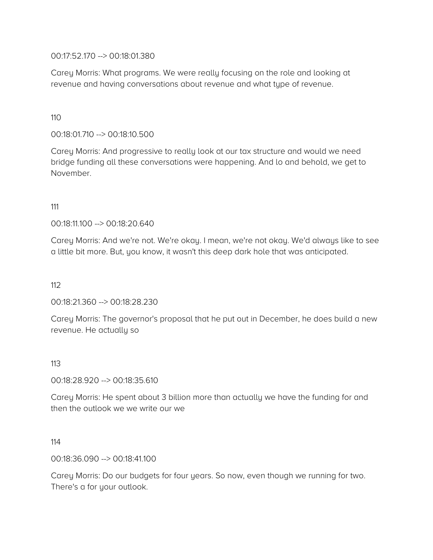00:17:52.170 --> 00:18:01.380

Carey Morris: What programs. We were really focusing on the role and looking at revenue and having conversations about revenue and what type of revenue.

110

00:18:01.710 --> 00:18:10.500

Carey Morris: And progressive to really look at our tax structure and would we need bridge funding all these conversations were happening. And lo and behold, we get to November.

111

00:18:11.100 --> 00:18:20.640

Carey Morris: And we're not. We're okay. I mean, we're not okay. We'd always like to see a little bit more. But, you know, it wasn't this deep dark hole that was anticipated.

112

00:18:21.360 --> 00:18:28.230

Carey Morris: The governor's proposal that he put out in December, he does build a new revenue. He actually so

#### 113

00:18:28.920 --> 00:18:35.610

Carey Morris: He spent about 3 billion more than actually we have the funding for and then the outlook we we write our we

114

00:18:36.090 --> 00:18:41.100

Carey Morris: Do our budgets for four years. So now, even though we running for two. There's a for your outlook.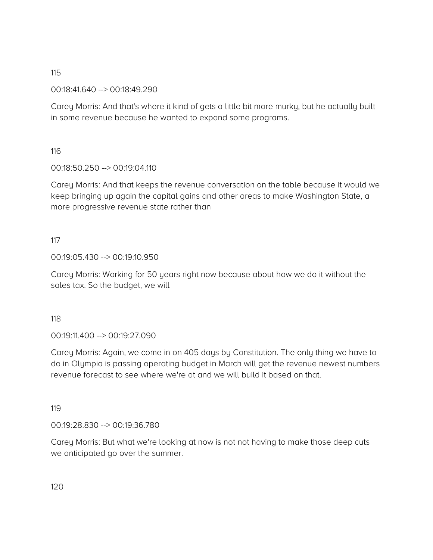00:18:41.640 --> 00:18:49.290

Carey Morris: And that's where it kind of gets a little bit more murky, but he actually built in some revenue because he wanted to expand some programs.

116

00:18:50.250 --> 00:19:04.110

Carey Morris: And that keeps the revenue conversation on the table because it would we keep bringing up again the capital gains and other areas to make Washington State, a more progressive revenue state rather than

117

00:19:05.430 --> 00:19:10.950

Carey Morris: Working for 50 years right now because about how we do it without the sales tax. So the budget, we will

118

00:19:11.400 --> 00:19:27.090

Carey Morris: Again, we come in on 405 days by Constitution. The only thing we have to do in Olympia is passing operating budget in March will get the revenue newest numbers revenue forecast to see where we're at and we will build it based on that.

119

00:19:28.830 --> 00:19:36.780

Carey Morris: But what we're looking at now is not not having to make those deep cuts we anticipated go over the summer.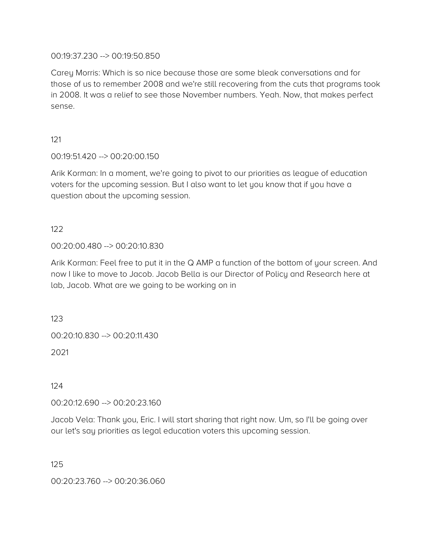00:19:37.230 --> 00:19:50.850

Carey Morris: Which is so nice because those are some bleak conversations and for those of us to remember 2008 and we're still recovering from the cuts that programs took in 2008. It was a relief to see those November numbers. Yeah. Now, that makes perfect sense.

121

00:19:51.420 --> 00:20:00.150

Arik Korman: In a moment, we're going to pivot to our priorities as league of education voters for the upcoming session. But I also want to let you know that if you have a question about the upcoming session.

122

00:20:00.480 --> 00:20:10.830

Arik Korman: Feel free to put it in the Q AMP a function of the bottom of your screen. And now I like to move to Jacob. Jacob Bella is our Director of Policy and Research here at lab, Jacob. What are we going to be working on in

123

00:20:10.830 --> 00:20:11.430

2021

124

00:20:12.690 --> 00:20:23.160

Jacob Vela: Thank you, Eric. I will start sharing that right now. Um, so I'll be going over our let's say priorities as legal education voters this upcoming session.

125

00:20:23.760 --> 00:20:36.060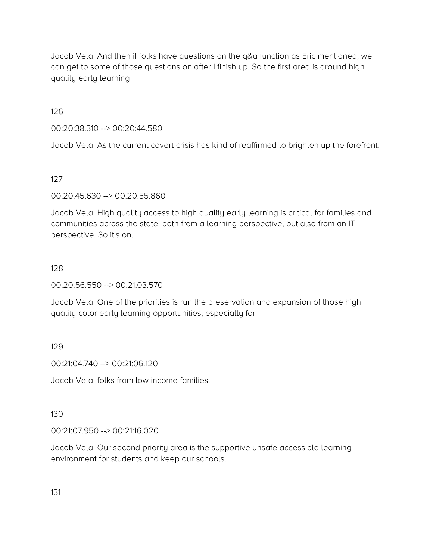Jacob Vela: And then if folks have questions on the q&a function as Eric mentioned, we can get to some of those questions on after I finish up. So the first area is around high quality early learning

126

00:20:38.310 --> 00:20:44.580

Jacob Vela: As the current covert crisis has kind of reaffirmed to brighten up the forefront.

127

00:20:45.630 --> 00:20:55.860

Jacob Vela: High quality access to high quality early learning is critical for families and communities across the state, both from a learning perspective, but also from an IT perspective. So it's on.

#### 128

00:20:56.550 --> 00:21:03.570

Jacob Vela: One of the priorities is run the preservation and expansion of those high quality color early learning opportunities, especially for

#### 129

00:21:04.740 --> 00:21:06.120

Jacob Vela: folks from low income families.

130

00:21:07.950 --> 00:21:16.020

Jacob Vela: Our second priority area is the supportive unsafe accessible learning environment for students and keep our schools.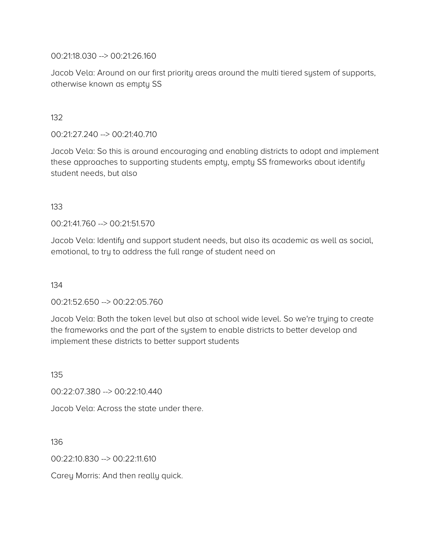00:21:18.030 --> 00:21:26.160

Jacob Vela: Around on our first priority areas around the multi tiered system of supports, otherwise known as empty SS

132

00:21:27.240 --> 00:21:40.710

Jacob Vela: So this is around encouraging and enabling districts to adopt and implement these approaches to supporting students empty, empty SS frameworks about identify student needs, but also

133

00:21:41.760 --> 00:21:51.570

Jacob Vela: Identify and support student needs, but also its academic as well as social, emotional, to try to address the full range of student need on

134

00:21:52.650 --> 00:22:05.760

Jacob Vela: Both the token level but also at school wide level. So we're trying to create the frameworks and the part of the system to enable districts to better develop and implement these districts to better support students

135

00:22:07.380 --> 00:22:10.440

Jacob Vela: Across the state under there.

136

00:22:10.830 --> 00:22:11.610

Carey Morris: And then really quick.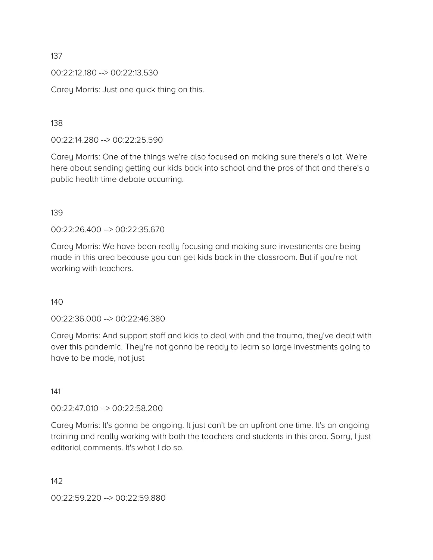00:22:12.180 --> 00:22:13.530

Carey Morris: Just one quick thing on this.

138

00:22:14.280 --> 00:22:25.590

Carey Morris: One of the things we're also focused on making sure there's a lot. We're here about sending getting our kids back into school and the pros of that and there's a public health time debate occurring.

139

00:22:26.400 --> 00:22:35.670

Carey Morris: We have been really focusing and making sure investments are being made in this area because you can get kids back in the classroom. But if you're not working with teachers.

140

00:22:36.000 --> 00:22:46.380

Carey Morris: And support staff and kids to deal with and the trauma, they've dealt with over this pandemic. They're not gonna be ready to learn so large investments going to have to be made, not just

141

00:22:47.010 --> 00:22:58.200

Carey Morris: It's gonna be ongoing. It just can't be an upfront one time. It's an ongoing training and really working with both the teachers and students in this area. Sorry, I just editorial comments. It's what I do so.

142

00:22:59.220 --> 00:22:59.880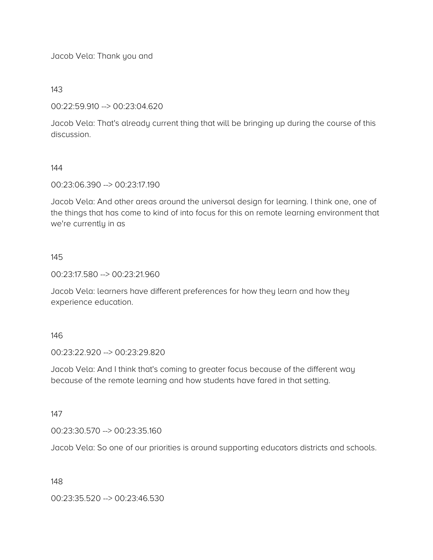Jacob Vela: Thank you and

143

## 00:22:59.910 --> 00:23:04.620

Jacob Vela: That's already current thing that will be bringing up during the course of this discussion.

## 144

00:23:06.390 --> 00:23:17.190

Jacob Vela: And other areas around the universal design for learning. I think one, one of the things that has come to kind of into focus for this on remote learning environment that we're currently in as

## 145

00:23:17.580 --> 00:23:21.960

Jacob Vela: learners have different preferences for how they learn and how they experience education.

#### 146

00:23:22.920 --> 00:23:29.820

Jacob Vela: And I think that's coming to greater focus because of the different way because of the remote learning and how students have fared in that setting.

147

00:23:30.570 --> 00:23:35.160

Jacob Vela: So one of our priorities is around supporting educators districts and schools.

#### 148

00:23:35.520 --> 00:23:46.530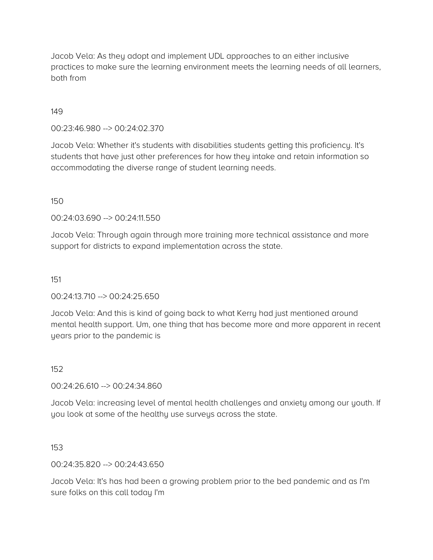Jacob Vela: As they adopt and implement UDL approaches to an either inclusive practices to make sure the learning environment meets the learning needs of all learners, both from

## 149

00:23:46.980 --> 00:24:02.370

Jacob Vela: Whether it's students with disabilities students getting this proficiency. It's students that have just other preferences for how they intake and retain information so accommodating the diverse range of student learning needs.

#### 150

00:24:03.690 --> 00:24:11.550

Jacob Vela: Through again through more training more technical assistance and more support for districts to expand implementation across the state.

#### 151

00:24:13.710 --> 00:24:25.650

Jacob Vela: And this is kind of going back to what Kerry had just mentioned around mental health support. Um, one thing that has become more and more apparent in recent years prior to the pandemic is

#### 152

00:24:26.610 --> 00:24:34.860

Jacob Vela: increasing level of mental health challenges and anxiety among our youth. If you look at some of the healthy use surveys across the state.

153

00:24:35.820 --> 00:24:43.650

Jacob Vela: It's has had been a growing problem prior to the bed pandemic and as I'm sure folks on this call today I'm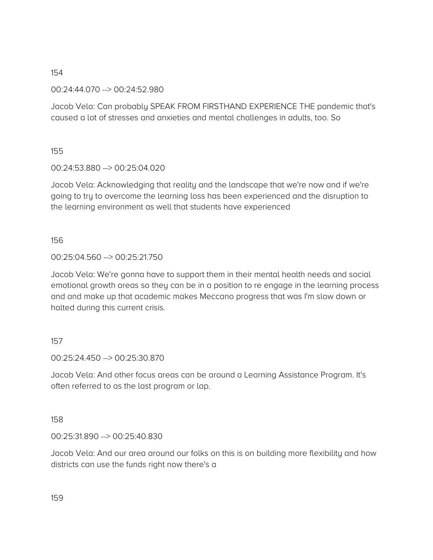00:24:44.070 --> 00:24:52.980

Jacob Vela: Can probably SPEAK FROM FIRSTHAND EXPERIENCE THE pandemic that's caused a lot of stresses and anxieties and mental challenges in adults, too. So

155

00:24:53.880 --> 00:25:04.020

Jacob Vela: Acknowledging that reality and the landscape that we're now and if we're going to try to overcome the learning loss has been experienced and the disruption to the learning environment as well that students have experienced

156

#### 00:25:04.560 --> 00:25:21.750

Jacob Vela: We're gonna have to support them in their mental health needs and social emotional growth areas so they can be in a position to re engage in the learning process and and make up that academic makes Meccano progress that was I'm slow down or halted during this current crisis.

#### 157

00:25:24.450 --> 00:25:30.870

Jacob Vela: And other focus areas can be around a Learning Assistance Program. It's often referred to as the last program or lap.

158

00:25:31.890 --> 00:25:40.830

Jacob Vela: And our area around our folks on this is on building more flexibility and how districts can use the funds right now there's a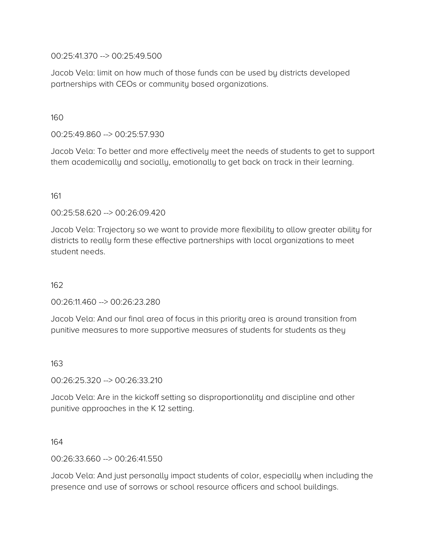00:25:41.370 --> 00:25:49.500

Jacob Vela: limit on how much of those funds can be used by districts developed partnerships with CEOs or community based organizations.

160

00:25:49.860 --> 00:25:57.930

Jacob Vela: To better and more effectively meet the needs of students to get to support them academically and socially, emotionally to get back on track in their learning.

161

00:25:58.620 --> 00:26:09.420

Jacob Vela: Trajectory so we want to provide more flexibility to allow greater ability for districts to really form these effective partnerships with local organizations to meet student needs.

162

00:26:11.460 --> 00:26:23.280

Jacob Vela: And our final area of focus in this priority area is around transition from punitive measures to more supportive measures of students for students as they

163

00:26:25.320 --> 00:26:33.210

Jacob Vela: Are in the kickoff setting so disproportionality and discipline and other punitive approaches in the K 12 setting.

164

00:26:33.660 --> 00:26:41.550

Jacob Vela: And just personally impact students of color, especially when including the presence and use of sorrows or school resource officers and school buildings.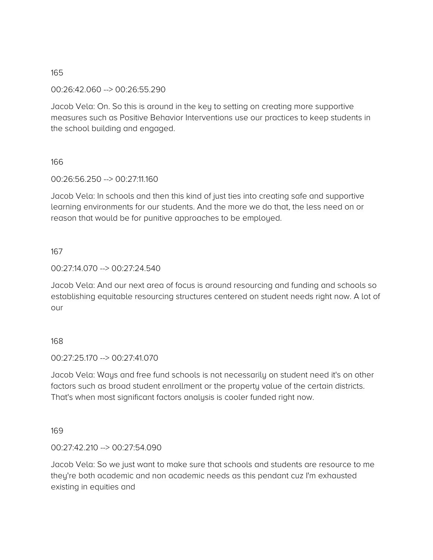00:26:42.060 --> 00:26:55.290

Jacob Vela: On. So this is around in the key to setting on creating more supportive measures such as Positive Behavior Interventions use our practices to keep students in the school building and engaged.

# 166

00:26:56.250 --> 00:27:11.160

Jacob Vela: In schools and then this kind of just ties into creating safe and supportive learning environments for our students. And the more we do that, the less need on or reason that would be for punitive approaches to be employed.

## 167

00:27:14.070 --> 00:27:24.540

Jacob Vela: And our next area of focus is around resourcing and funding and schools so establishing equitable resourcing structures centered on student needs right now. A lot of our

#### 168

00:27:25.170 --> 00:27:41.070

Jacob Vela: Ways and free fund schools is not necessarily on student need it's on other factors such as broad student enrollment or the property value of the certain districts. That's when most significant factors analysis is cooler funded right now.

#### 169

00:27:42.210 --> 00:27:54.090

Jacob Vela: So we just want to make sure that schools and students are resource to me they're both academic and non academic needs as this pendant cuz I'm exhausted existing in equities and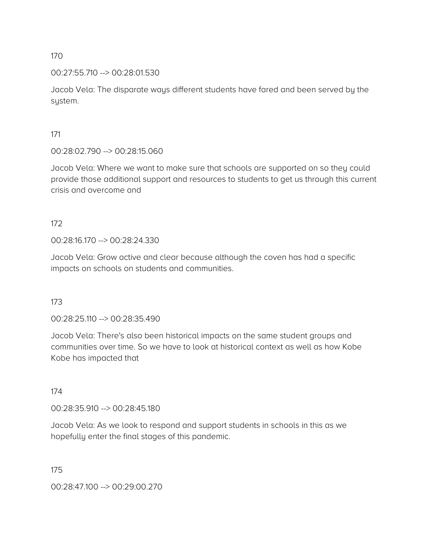00:27:55.710 --> 00:28:01.530

Jacob Vela: The disparate ways different students have fared and been served by the system.

171

00:28:02.790 --> 00:28:15.060

Jacob Vela: Where we want to make sure that schools are supported on so they could provide those additional support and resources to students to get us through this current crisis and overcome and

172

00:28:16.170 --> 00:28:24.330

Jacob Vela: Grow active and clear because although the coven has had a specific impacts on schools on students and communities.

173

00:28:25.110 --> 00:28:35.490

Jacob Vela: There's also been historical impacts on the same student groups and communities over time. So we have to look at historical context as well as how Kobe Kobe has impacted that

174

00:28:35.910 --> 00:28:45.180

Jacob Vela: As we look to respond and support students in schools in this as we hopefully enter the final stages of this pandemic.

175

00:28:47.100 --> 00:29:00.270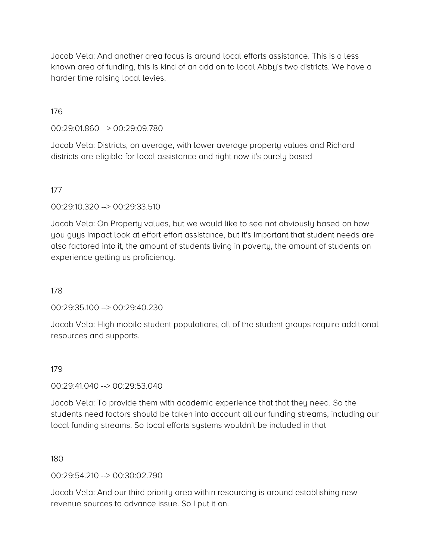Jacob Vela: And another area focus is around local efforts assistance. This is a less known area of funding, this is kind of an add on to local Abby's two districts. We have a harder time raising local levies.

## 176

00:29:01.860 --> 00:29:09.780

Jacob Vela: Districts, on average, with lower average property values and Richard districts are eligible for local assistance and right now it's purely based

## 177

00:29:10.320 --> 00:29:33.510

Jacob Vela: On Property values, but we would like to see not obviously based on how you guys impact look at effort effort assistance, but it's important that student needs are also factored into it, the amount of students living in poverty, the amount of students on experience getting us proficiency.

178

00:29:35.100 --> 00:29:40.230

Jacob Vela: High mobile student populations, all of the student groups require additional resources and supports.

#### 179

#### 00:29:41.040 --> 00:29:53.040

Jacob Vela: To provide them with academic experience that that they need. So the students need factors should be taken into account all our funding streams, including our local funding streams. So local efforts systems wouldn't be included in that

#### 180

00:29:54.210 --> 00:30:02.790

Jacob Vela: And our third priority area within resourcing is around establishing new revenue sources to advance issue. So I put it on.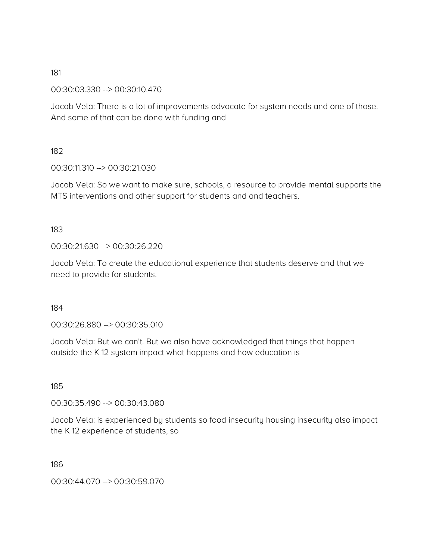00:30:03.330 --> 00:30:10.470

Jacob Vela: There is a lot of improvements advocate for system needs and one of those. And some of that can be done with funding and

182

00:30:11.310 --> 00:30:21.030

Jacob Vela: So we want to make sure, schools, a resource to provide mental supports the MTS interventions and other support for students and and teachers.

183

00:30:21.630 --> 00:30:26.220

Jacob Vela: To create the educational experience that students deserve and that we need to provide for students.

184

00:30:26.880 --> 00:30:35.010

Jacob Vela: But we can't. But we also have acknowledged that things that happen outside the K 12 system impact what happens and how education is

185

00:30:35.490 --> 00:30:43.080

Jacob Vela: is experienced by students so food insecurity housing insecurity also impact the K 12 experience of students, so

186

00:30:44.070 --> 00:30:59.070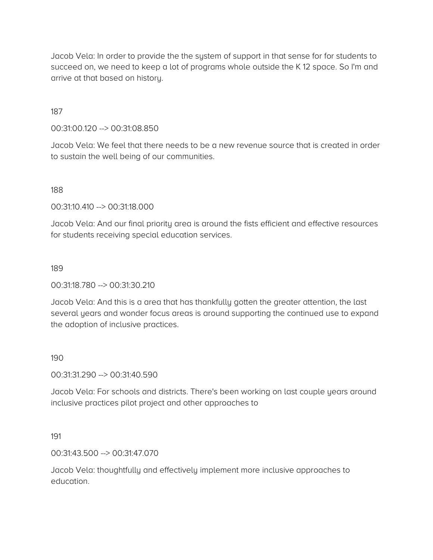Jacob Vela: In order to provide the the system of support in that sense for for students to succeed on, we need to keep a lot of programs whole outside the K 12 space. So I'm and arrive at that based on history.

## 187

00:31:00.120 --> 00:31:08.850

Jacob Vela: We feel that there needs to be a new revenue source that is created in order to sustain the well being of our communities.

188

00:31:10.410 --> 00:31:18.000

Jacob Vela: And our final priority area is around the fists efficient and effective resources for students receiving special education services.

189

00:31:18.780 --> 00:31:30.210

Jacob Vela: And this is a area that has thankfully gotten the greater attention, the last several years and wonder focus areas is around supporting the continued use to expand the adoption of inclusive practices.

#### 190

00:31:31.290 --> 00:31:40.590

Jacob Vela: For schools and districts. There's been working on last couple years around inclusive practices pilot project and other approaches to

#### 191

00:31:43.500 --> 00:31:47.070

Jacob Vela: thoughtfully and effectively implement more inclusive approaches to education.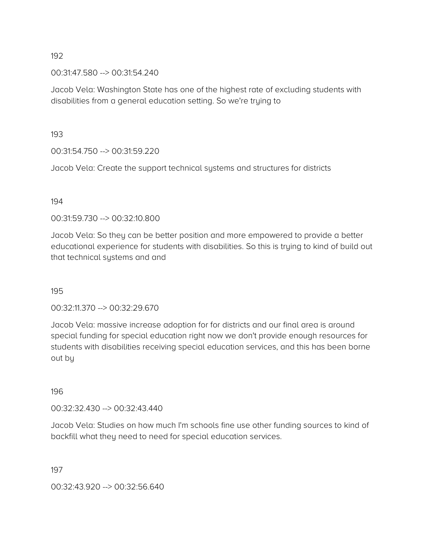00:31:47.580 --> 00:31:54.240

Jacob Vela: Washington State has one of the highest rate of excluding students with disabilities from a general education setting. So we're trying to

193

00:31:54.750 --> 00:31:59.220

Jacob Vela: Create the support technical systems and structures for districts

## 194

00:31:59.730 --> 00:32:10.800

Jacob Vela: So they can be better position and more empowered to provide a better educational experience for students with disabilities. So this is trying to kind of build out that technical systems and and

195

00:32:11.370 --> 00:32:29.670

Jacob Vela: massive increase adoption for for districts and our final area is around special funding for special education right now we don't provide enough resources for students with disabilities receiving special education services, and this has been borne out by

196

00:32:32.430 --> 00:32:43.440

Jacob Vela: Studies on how much I'm schools fine use other funding sources to kind of backfill what they need to need for special education services.

197

00:32:43.920 --> 00:32:56.640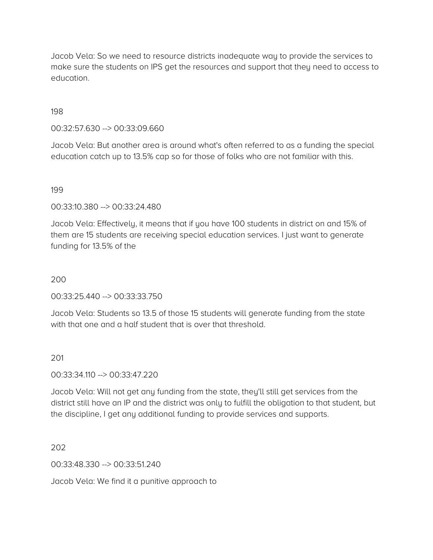Jacob Vela: So we need to resource districts inadequate way to provide the services to make sure the students on IPS get the resources and support that they need to access to education.

198

00:32:57.630 --> 00:33:09.660

Jacob Vela: But another area is around what's often referred to as a funding the special education catch up to 13.5% cap so for those of folks who are not familiar with this.

199

00:33:10.380 --> 00:33:24.480

Jacob Vela: Effectively, it means that if you have 100 students in district on and 15% of them are 15 students are receiving special education services. I just want to generate funding for 13.5% of the

200

00:33:25.440 --> 00:33:33.750

Jacob Vela: Students so 13.5 of those 15 students will generate funding from the state with that one and a half student that is over that threshold.

201

00:33:34.110 --> 00:33:47.220

Jacob Vela: Will not get any funding from the state, they'll still get services from the district still have an IP and the district was only to fulfill the obligation to that student, but the discipline, I get any additional funding to provide services and supports.

202

00:33:48.330 --> 00:33:51.240

Jacob Vela: We find it a punitive approach to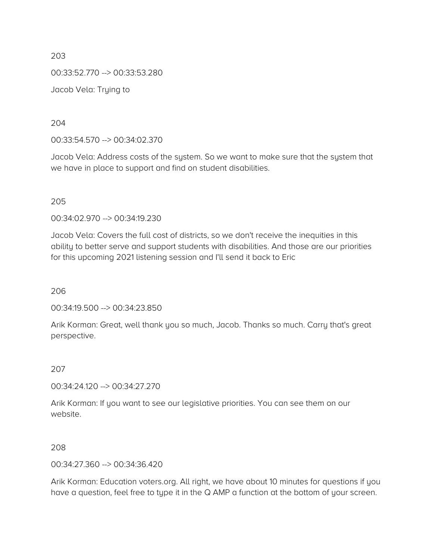203 00:33:52.770 --> 00:33:53.280 Jacob Vela: Trying to

204

00:33:54.570 --> 00:34:02.370

Jacob Vela: Address costs of the system. So we want to make sure that the system that we have in place to support and find on student disabilities.

205

00:34:02.970 --> 00:34:19.230

Jacob Vela: Covers the full cost of districts, so we don't receive the inequities in this ability to better serve and support students with disabilities. And those are our priorities for this upcoming 2021 listening session and I'll send it back to Eric

206

00:34:19.500 --> 00:34:23.850

Arik Korman: Great, well thank you so much, Jacob. Thanks so much. Carry that's great perspective.

207

00:34:24.120 --> 00:34:27.270

Arik Korman: If you want to see our legislative priorities. You can see them on our website.

208

00:34:27.360 --> 00:34:36.420

Arik Korman: Education voters.org. All right, we have about 10 minutes for questions if you have a question, feel free to type it in the Q AMP a function at the bottom of your screen.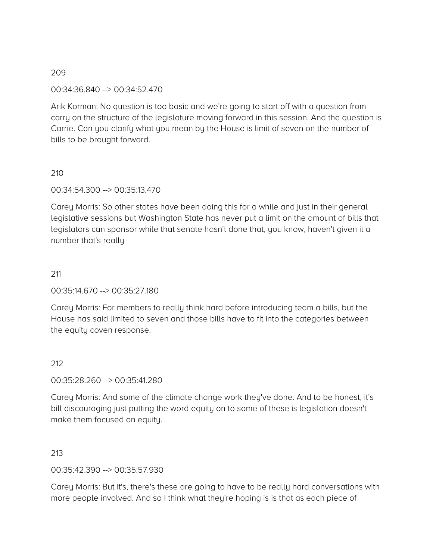00:34:36.840 --> 00:34:52.470

Arik Korman: No question is too basic and we're going to start off with a question from carry on the structure of the legislature moving forward in this session. And the question is Carrie. Can you clarify what you mean by the House is limit of seven on the number of bills to be brought forward.

# 210

00:34:54.300 --> 00:35:13.470

Carey Morris: So other states have been doing this for a while and just in their general legislative sessions but Washington State has never put a limit on the amount of bills that legislators can sponsor while that senate hasn't done that, you know, haven't given it a number that's really

## 211

00:35:14.670 --> 00:35:27.180

Carey Morris: For members to really think hard before introducing team a bills, but the House has said limited to seven and those bills have to fit into the categories between the equity coven response.

# 212

00:35:28.260 --> 00:35:41.280

Carey Morris: And some of the climate change work they've done. And to be honest, it's bill discouraging just putting the word equity on to some of these is legislation doesn't make them focused on equity.

#### 213

00:35:42.390 --> 00:35:57.930

Carey Morris: But it's, there's these are going to have to be really hard conversations with more people involved. And so I think what they're hoping is is that as each piece of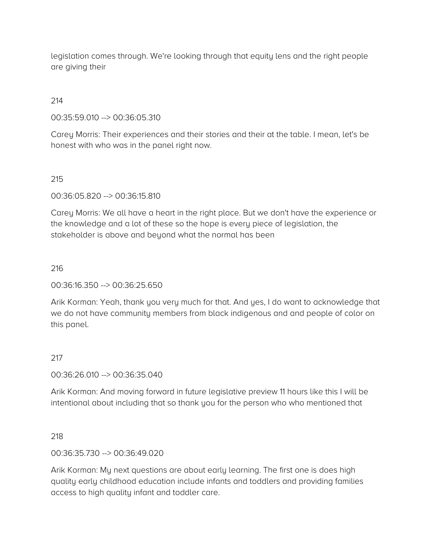legislation comes through. We're looking through that equity lens and the right people are giving their

214

00:35:59.010 --> 00:36:05.310

Carey Morris: Their experiences and their stories and their at the table. I mean, let's be honest with who was in the panel right now.

215

00:36:05.820 --> 00:36:15.810

Carey Morris: We all have a heart in the right place. But we don't have the experience or the knowledge and a lot of these so the hope is every piece of legislation, the stakeholder is above and beyond what the normal has been

216

00:36:16.350 --> 00:36:25.650

Arik Korman: Yeah, thank you very much for that. And yes, I do want to acknowledge that we do not have community members from black indigenous and and people of color on this panel.

#### 217

00:36:26.010 --> 00:36:35.040

Arik Korman: And moving forward in future legislative preview 11 hours like this I will be intentional about including that so thank you for the person who who mentioned that

218

00:36:35.730 --> 00:36:49.020

Arik Korman: My next questions are about early learning. The first one is does high quality early childhood education include infants and toddlers and providing families access to high quality infant and toddler care.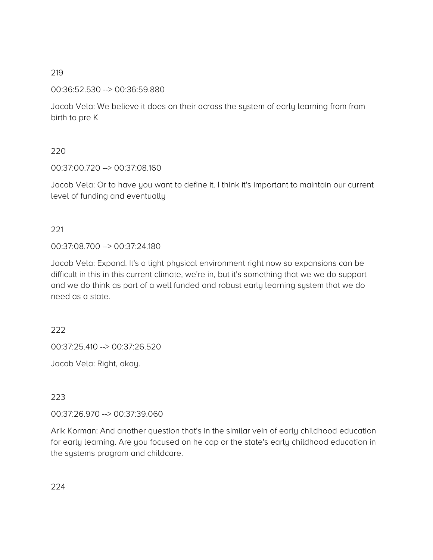00:36:52.530 --> 00:36:59.880

Jacob Vela: We believe it does on their across the system of early learning from from birth to pre K

# 220

00:37:00.720 --> 00:37:08.160

Jacob Vela: Or to have you want to define it. I think it's important to maintain our current level of funding and eventually

# 221

00:37:08.700 --> 00:37:24.180

Jacob Vela: Expand. It's a tight physical environment right now so expansions can be difficult in this in this current climate, we're in, but it's something that we we do support and we do think as part of a well funded and robust early learning system that we do need as a state.

# 222

00:37:25.410 --> 00:37:26.520

Jacob Vela: Right, okay.

# 223

00:37:26.970 --> 00:37:39.060

Arik Korman: And another question that's in the similar vein of early childhood education for early learning. Are you focused on he cap or the state's early childhood education in the systems program and childcare.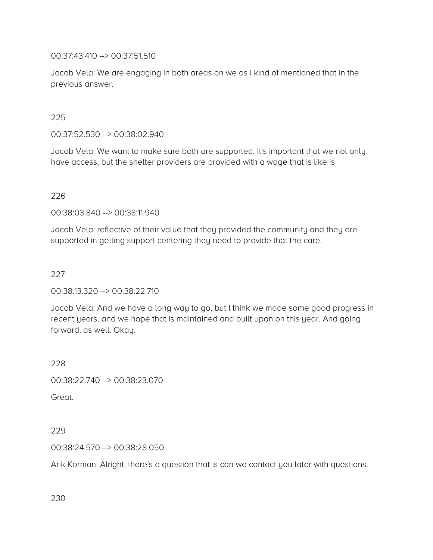00:37:43.410 --> 00:37:51.510

Jacob Vela: We are engaging in both areas on we as I kind of mentioned that in the previous answer.

# 225

00:37:52.530 --> 00:38:02.940

Jacob Vela: We want to make sure both are supported. It's important that we not only have access, but the shelter providers are provided with a wage that is like is

#### 226

00:38:03.840 --> 00:38:11.940

Jacob Vela: reflective of their value that they provided the community and they are supported in getting support centering they need to provide that the care.

#### 227

#### 00:38:13.320 --> 00:38:22.710

Jacob Vela: And we have a long way to go, but I think we made some good progress in recent years, and we hope that is maintained and built upon on this year. And going forward, as well. Okay.

228

00:38:22.740 --> 00:38:23.070

Great.

#### 229

#### 00:38:24.570 --> 00:38:28.050

Arik Korman: Alright, there's a question that is can we contact you later with questions.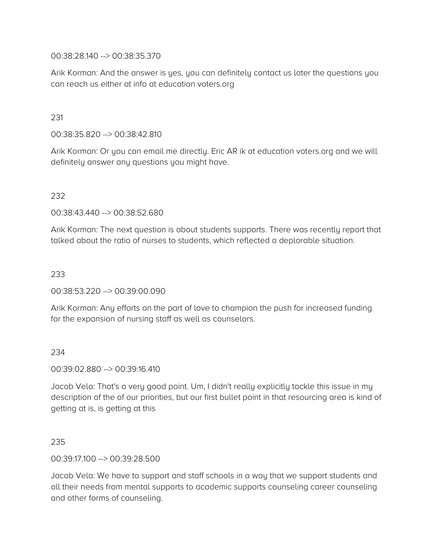00:38:28.140 --> 00:38:35.370

Arik Korman: And the answer is yes, you can definitely contact us later the questions you can reach us either at info at education voters.org

231

00:38:35.820 --> 00:38:42.810

Arik Korman: Or you can email me directly. Eric AR ik at education voters.org and we will definitely answer any questions you might have.

232

00:38:43.440 --> 00:38:52.680

Arik Korman: The next question is about students supports. There was recently report that talked about the ratio of nurses to students, which reflected a deplorable situation.

233

00:38:53.220 --> 00:39:00.090

Arik Korman: Any efforts on the part of love to champion the push for increased funding for the expansion of nursing staff as well as counselors.

234

00:39:02.880 --> 00:39:16.410

Jacob Vela: That's a very good point. Um, I didn't really explicitly tackle this issue in my description of the of our priorities, but our first bullet point in that resourcing area is kind of getting at is, is getting at this

235

00:39:17.100 --> 00:39:28.500

Jacob Vela: We have to support and staff schools in a way that we support students and all their needs from mental supports to academic supports counseling career counseling and other forms of counseling.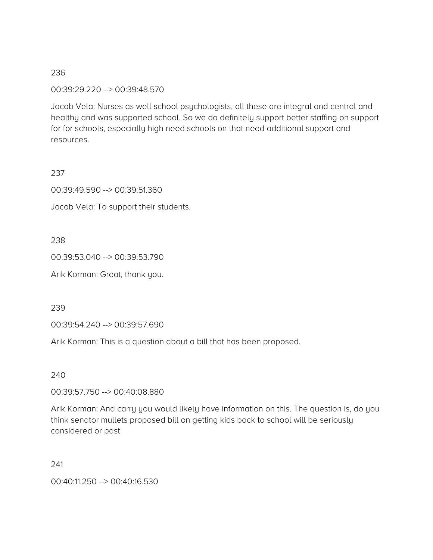00:39:29.220 --> 00:39:48.570

Jacob Vela: Nurses as well school psychologists, all these are integral and central and healthy and was supported school. So we do definitely support better staffing on support for for schools, especially high need schools on that need additional support and resources.

#### 237

00:39:49.590 --> 00:39:51.360

Jacob Vela: To support their students.

238

00:39:53.040 --> 00:39:53.790

Arik Korman: Great, thank you.

239

00:39:54.240 --> 00:39:57.690

Arik Korman: This is a question about a bill that has been proposed.

240

00:39:57.750 --> 00:40:08.880

Arik Korman: And carry you would likely have information on this. The question is, do you think senator mullets proposed bill on getting kids back to school will be seriously considered or past

241

00:40:11.250 --> 00:40:16.530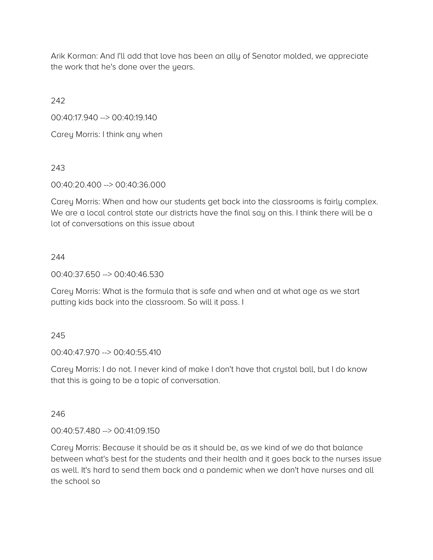Arik Korman: And I'll add that love has been an ally of Senator molded, we appreciate the work that he's done over the years.

242

00:40:17.940 --> 00:40:19.140

Carey Morris: I think any when

243

00:40:20.400 --> 00:40:36.000

Carey Morris: When and how our students get back into the classrooms is fairly complex. We are a local control state our districts have the final say on this. I think there will be a lot of conversations on this issue about

# 244

00:40:37.650 --> 00:40:46.530

Carey Morris: What is the formula that is safe and when and at what age as we start putting kids back into the classroom. So will it pass. I

# 245

00:40:47.970 --> 00:40:55.410

Carey Morris: I do not. I never kind of make I don't have that crystal ball, but I do know that this is going to be a topic of conversation.

246

00:40:57.480 --> 00:41:09.150

Carey Morris: Because it should be as it should be, as we kind of we do that balance between what's best for the students and their health and it goes back to the nurses issue as well. It's hard to send them back and a pandemic when we don't have nurses and all the school so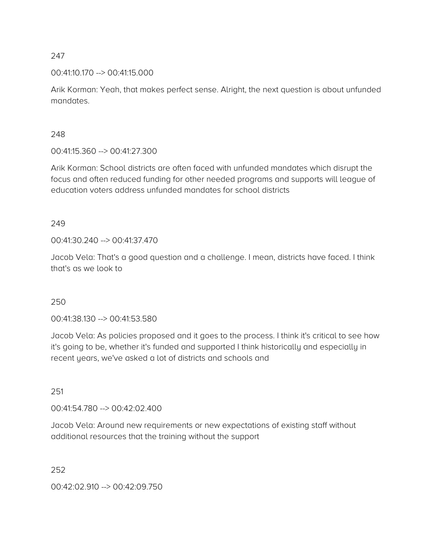## 00:41:10.170 --> 00:41:15.000

Arik Korman: Yeah, that makes perfect sense. Alright, the next question is about unfunded mandates.

## 248

00:41:15.360 --> 00:41:27.300

Arik Korman: School districts are often faced with unfunded mandates which disrupt the focus and often reduced funding for other needed programs and supports will league of education voters address unfunded mandates for school districts

## 249

00:41:30.240 --> 00:41:37.470

Jacob Vela: That's a good question and a challenge. I mean, districts have faced. I think that's as we look to

# 250

00:41:38.130 --> 00:41:53.580

Jacob Vela: As policies proposed and it goes to the process. I think it's critical to see how it's going to be, whether it's funded and supported I think historically and especially in recent years, we've asked a lot of districts and schools and

#### 251

00:41:54.780 --> 00:42:02.400

Jacob Vela: Around new requirements or new expectations of existing staff without additional resources that the training without the support

252

00:42:02.910 --> 00:42:09.750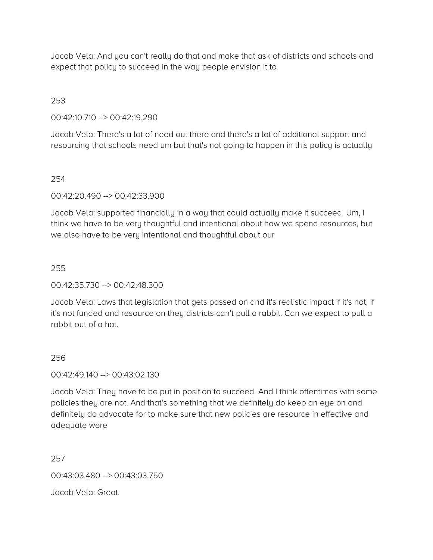Jacob Vela: And you can't really do that and make that ask of districts and schools and expect that policy to succeed in the way people envision it to

# 253

00:42:10.710 --> 00:42:19.290

Jacob Vela: There's a lot of need out there and there's a lot of additional support and resourcing that schools need um but that's not going to happen in this policy is actually

# 254

00:42:20.490 --> 00:42:33.900

Jacob Vela: supported financially in a way that could actually make it succeed. Um, I think we have to be very thoughtful and intentional about how we spend resources, but we also have to be very intentional and thoughtful about our

# 255

00:42:35.730 --> 00:42:48.300

Jacob Vela: Laws that legislation that gets passed on and it's realistic impact if it's not, if it's not funded and resource on they districts can't pull a rabbit. Can we expect to pull a rabbit out of a hat.

# 256

00:42:49.140 --> 00:43:02.130

Jacob Vela: They have to be put in position to succeed. And I think oftentimes with some policies they are not. And that's something that we definitely do keep an eye on and definitely do advocate for to make sure that new policies are resource in effective and adequate were

# 257

00:43:03.480 --> 00:43:03.750

Jacob Vela: Great.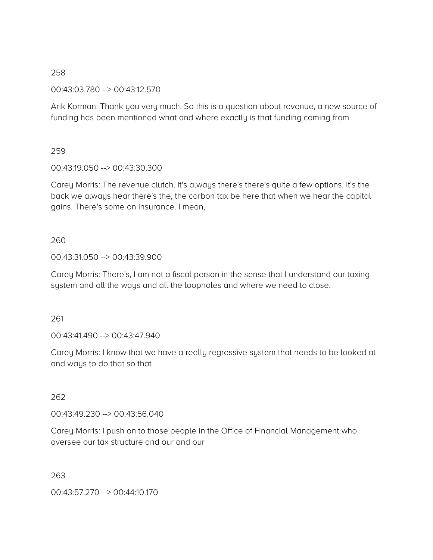00:43:03.780 --> 00:43:12.570

Arik Korman: Thank you very much. So this is a question about revenue, a new source of funding has been mentioned what and where exactly is that funding coming from

## 259

00:43:19.050 --> 00:43:30.300

Carey Morris: The revenue clutch. It's always there's there's quite a few options. It's the back we always hear there's the, the carbon tax be here that when we hear the capital gains. There's some on insurance. I mean,

## 260

00:43:31.050 --> 00:43:39.900

Carey Morris: There's, I am not a fiscal person in the sense that I understand our taxing system and all the ways and all the loopholes and where we need to close.

#### 261

00:43:41.490 --> 00:43:47.940

Carey Morris: I know that we have a really regressive system that needs to be looked at and ways to do that so that

# 262

00:43:49.230 --> 00:43:56.040

Carey Morris: I push on to those people in the Office of Financial Management who oversee our tax structure and our and our

263

00:43:57.270 --> 00:44:10.170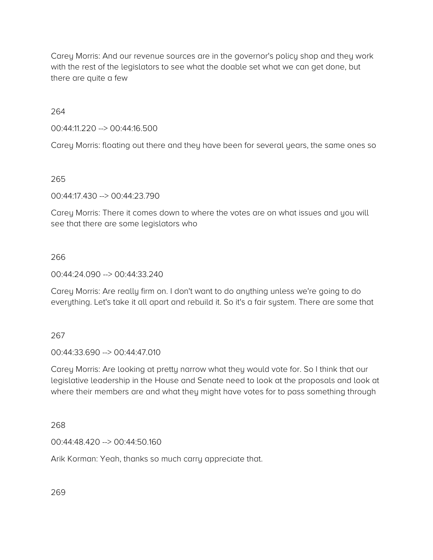Carey Morris: And our revenue sources are in the governor's policy shop and they work with the rest of the legislators to see what the doable set what we can get done, but there are quite a few

264

00:44:11.220 --> 00:44:16.500

Carey Morris: floating out there and they have been for several years, the same ones so

265

00:44:17.430 --> 00:44:23.790

Carey Morris: There it comes down to where the votes are on what issues and you will see that there are some legislators who

# 266

00:44:24.090 --> 00:44:33.240

Carey Morris: Are really firm on. I don't want to do anything unless we're going to do everything. Let's take it all apart and rebuild it. So it's a fair system. There are some that

267

00:44:33.690 --> 00:44:47.010

Carey Morris: Are looking at pretty narrow what they would vote for. So I think that our legislative leadership in the House and Senate need to look at the proposals and look at where their members are and what they might have votes for to pass something through

268

00:44:48.420 --> 00:44:50.160

Arik Korman: Yeah, thanks so much carry appreciate that.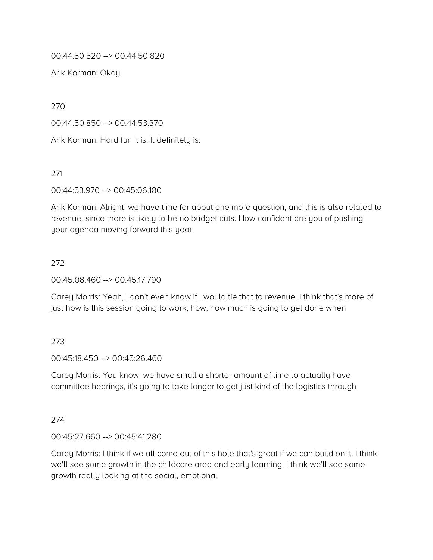00:44:50.520 --> 00:44:50.820

Arik Korman: Okay.

270

00:44:50.850 --> 00:44:53.370

Arik Korman: Hard fun it is. It definitely is.

271

00:44:53.970 --> 00:45:06.180

Arik Korman: Alright, we have time for about one more question, and this is also related to revenue, since there is likely to be no budget cuts. How confident are you of pushing your agenda moving forward this year.

## 272

00:45:08.460 --> 00:45:17.790

Carey Morris: Yeah, I don't even know if I would tie that to revenue. I think that's more of just how is this session going to work, how, how much is going to get done when

# 273

00:45:18.450 --> 00:45:26.460

Carey Morris: You know, we have small a shorter amount of time to actually have committee hearings, it's going to take longer to get just kind of the logistics through

274

00:45:27.660 --> 00:45:41.280

Carey Morris: I think if we all come out of this hole that's great if we can build on it. I think we'll see some growth in the childcare area and early learning. I think we'll see some growth really looking at the social, emotional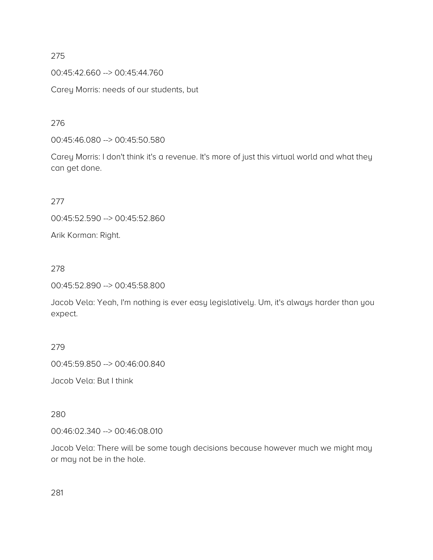00:45:42.660 --> 00:45:44.760

Carey Morris: needs of our students, but

276

00:45:46.080 --> 00:45:50.580

Carey Morris: I don't think it's a revenue. It's more of just this virtual world and what they can get done.

277

00:45:52.590 --> 00:45:52.860

Arik Korman: Right.

## 278

00:45:52.890 --> 00:45:58.800

Jacob Vela: Yeah, I'm nothing is ever easy legislatively. Um, it's always harder than you expect.

## 279

00:45:59.850 --> 00:46:00.840

Jacob Vela: But I think

#### 280

00:46:02.340 --> 00:46:08.010

Jacob Vela: There will be some tough decisions because however much we might may or may not be in the hole.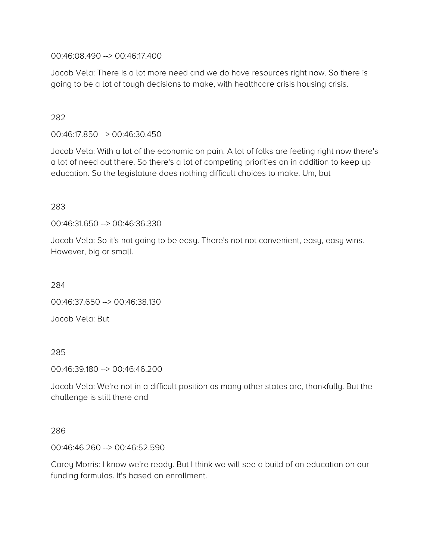00:46:08.490 --> 00:46:17.400

Jacob Vela: There is a lot more need and we do have resources right now. So there is going to be a lot of tough decisions to make, with healthcare crisis housing crisis.

# 282

00:46:17.850 --> 00:46:30.450

Jacob Vela: With a lot of the economic on pain. A lot of folks are feeling right now there's a lot of need out there. So there's a lot of competing priorities on in addition to keep up education. So the legislature does nothing difficult choices to make. Um, but

## 283

00:46:31.650 --> 00:46:36.330

Jacob Vela: So it's not going to be easy. There's not not convenient, easy, easy wins. However, big or small.

284

00:46:37.650 --> 00:46:38.130

Jacob Vela: But

#### 285

00:46:39.180 --> 00:46:46.200

Jacob Vela: We're not in a difficult position as many other states are, thankfully. But the challenge is still there and

#### 286

00:46:46.260 --> 00:46:52.590

Carey Morris: I know we're ready. But I think we will see a build of an education on our funding formulas. It's based on enrollment.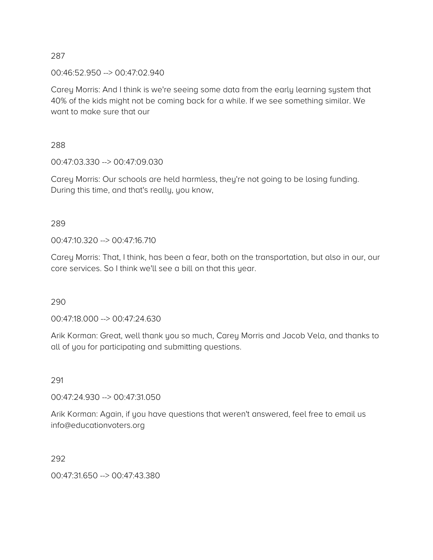00:46:52.950 --> 00:47:02.940

Carey Morris: And I think is we're seeing some data from the early learning system that 40% of the kids might not be coming back for a while. If we see something similar. We want to make sure that our

288

00:47:03.330 --> 00:47:09.030

Carey Morris: Our schools are held harmless, they're not going to be losing funding. During this time, and that's really, you know,

# 289

00:47:10.320 --> 00:47:16.710

Carey Morris: That, I think, has been a fear, both on the transportation, but also in our, our core services. So I think we'll see a bill on that this year.

290

00:47:18.000 --> 00:47:24.630

Arik Korman: Great, well thank you so much, Carey Morris and Jacob Vela, and thanks to all of you for participating and submitting questions.

291

00:47:24.930 --> 00:47:31.050

Arik Korman: Again, if you have questions that weren't answered, feel free to email us info@educationvoters.org

292

00:47:31.650 --> 00:47:43.380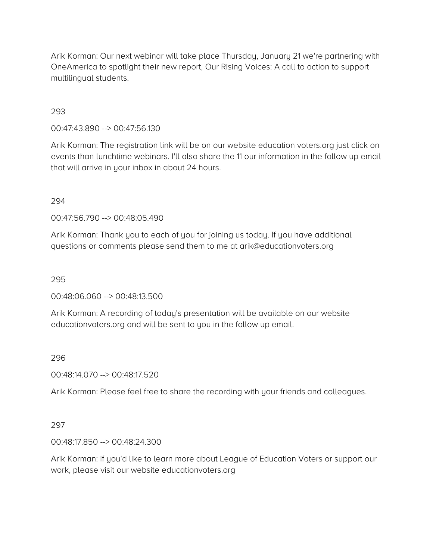Arik Korman: Our next webinar will take place Thursday, January 21 we're partnering with OneAmerica to spotlight their new report, Our Rising Voices: A call to action to support multilingual students.

# 293

00:47:43.890 --> 00:47:56.130

Arik Korman: The registration link will be on our website education voters.org just click on events than lunchtime webinars. I'll also share the 11 our information in the follow up email that will arrive in your inbox in about 24 hours.

## 294

00:47:56.790 --> 00:48:05.490

Arik Korman: Thank you to each of you for joining us today. If you have additional questions or comments please send them to me at arik@educationvoters.org

## 295

00:48:06.060 --> 00:48:13.500

Arik Korman: A recording of today's presentation will be available on our website educationvoters.org and will be sent to you in the follow up email.

# 296

00:48:14.070 --> 00:48:17.520

Arik Korman: Please feel free to share the recording with your friends and colleagues.

# 297

00:48:17.850 --> 00:48:24.300

Arik Korman: If you'd like to learn more about League of Education Voters or support our work, please visit our website educationvoters.org